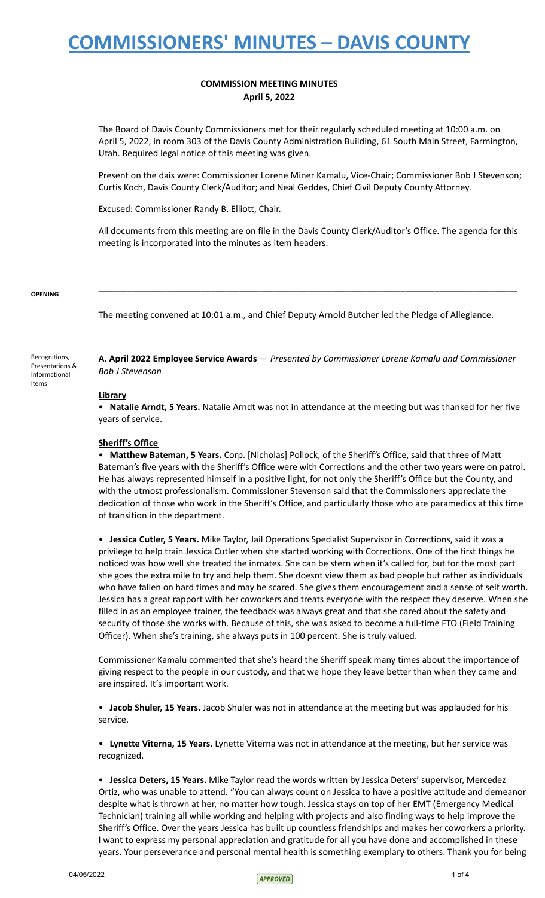## **COMMISSION MEETING MINUTES April 5, 2022**

The Board of Davis County Commissioners met for their regularly scheduled meeting at 10:00 a.m. on April 5, 2022, in room 303 of the Davis County Administration Building, 61 South Main Street, Farmington, Utah. Required legal notice of this meeting was given.

Present on the dais were: Commissioner Lorene Miner Kamalu, Vice-Chair; Commissioner Bob J Stevenson; Curtis Koch, Davis County Clerk/Auditor; and Neal Geddes, Chief Civil Deputy County Attorney.

Excused: Commissioner Randy B. Elliott, Chair.

All documents from this meeting are on file in the Davis County Clerk/Auditor's Office. The agenda for this meeting is incorporated into the minutes as item headers.

**\_\_\_\_\_\_\_\_\_\_\_\_\_\_\_\_\_\_\_\_\_\_\_\_\_\_\_\_\_\_\_\_\_\_\_\_\_\_\_\_\_\_\_\_\_\_\_\_\_\_\_\_\_\_\_\_\_\_\_\_\_\_\_\_\_\_\_\_\_\_\_\_\_\_\_\_\_\_\_\_\_\_\_\_\_\_**

### **OPENING**

The meeting convened at 10:01 a.m., and Chief Deputy Arnold Butcher led the Pledge of Allegiance.

Recognitions, Presentations & Informational Items

**A. April 2022 Employee Service Awards** — *Presented by Commissioner Lorene Kamalu and Commissioner Bob J Stevenson*

### **Library**

• **Natalie Arndt, 5 Years.** Natalie Arndt was not in attendance at the meeting but was thanked for her five years of service.

### **Sheriff's Office**

• **Matthew Bateman, 5 Years.** Corp. [Nicholas] Pollock, of the Sheriff's Office, said that three of Matt Bateman's five years with the Sheriff's Office were with Corrections and the other two years were on patrol. He has always represented himself in a positive light, for not only the Sheriff's Office but the County, and with the utmost professionalism. Commissioner Stevenson said that the Commissioners appreciate the dedication of those who work in the Sheriff's Office, and particularly those who are paramedics at this time of transition in the department.

• **Jessica Cutler, 5 Years.** Mike Taylor, Jail Operations Specialist Supervisor in Corrections, said it was a privilege to help train Jessica Cutler when she started working with Corrections. One of the first things he noticed was how well she treated the inmates. She can be stern when it's called for, but for the most part she goes the extra mile to try and help them. She doesnt view them as bad people but rather as individuals who have fallen on hard times and may be scared. She gives them encouragement and a sense of self worth. Jessica has a great rapport with her coworkers and treats everyone with the respect they deserve. When she filled in as an employee trainer, the feedback was always great and that she cared about the safety and security of those she works with. Because of this, she was asked to become a full-time FTO (Field Training Officer). When she's training, she always puts in 100 percent. She is truly valued.

Commissioner Kamalu commented that she's heard the Sheriff speak many times about the importance of giving respect to the people in our custody, and that we hope they leave better than when they came and are inspired. It's important work.

• **Jacob Shuler, 15 Years.** Jacob Shuler was not in attendance at the meeting but was applauded for his service.

• **Lynette Viterna, 15 Years.** Lynette Viterna was not in attendance at the meeting, but her service was recognized.

• **Jessica Deters, 15 Years.** Mike Taylor read the words written by Jessica Deters' supervisor, Mercedez Ortiz, who was unable to attend. "You can always count on Jessica to have a positive attitude and demeanor despite what is thrown at her, no matter how tough. Jessica stays on top of her EMT (Emergency Medical Technician) training all while working and helping with projects and also finding ways to help improve the Sheriff's Office. Over the years Jessica has built up countless friendships and makes her coworkers a priority. I want to express my personal appreciation and gratitude for all you have done and accomplished in these years. Your perseverance and personal mental health is something exemplary to others. Thank you for being

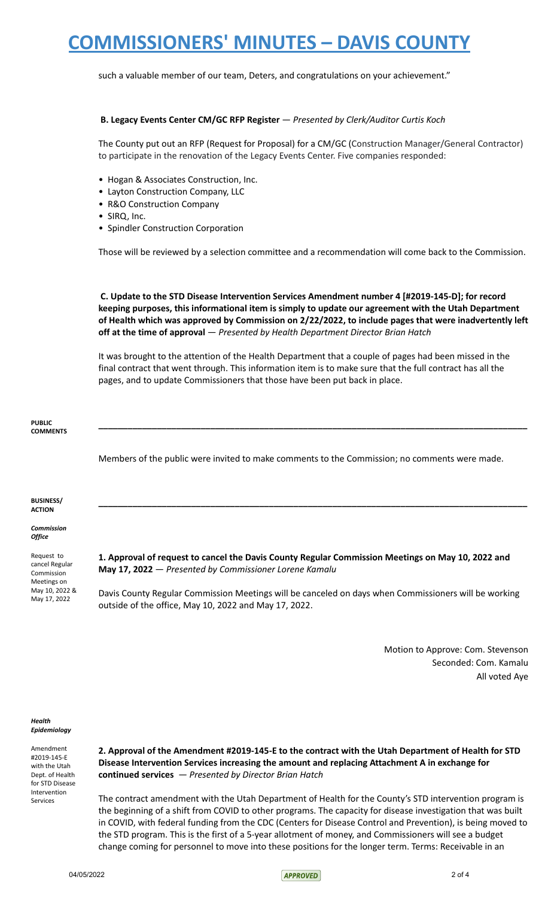such a valuable member of our team, Deters, and congratulations on your achievement."

### **B. Legacy Events Center CM/GC RFP Register** — *Presented by Clerk/Auditor Curtis Koch*

The County put out an RFP (Request for Proposal) for a CM/GC (Construction Manager/General Contractor) to participate in the renovation of the Legacy Events Center. Five companies responded:

- Hogan & Associates Construction, Inc.
- Layton Construction Company, LLC
- R&O Construction Company
- SIRQ, Inc.
- Spindler Construction Corporation

Those will be reviewed by a selection committee and a recommendation will come back to the Commission.

**C. Update to the STD Disease Intervention Services Amendment number 4 [#2019-145-D]; for record keeping purposes, this informational item is simply to update our agreement with the Utah Department of Health which was approved by Commission on 2/22/2022, to include pages that were inadvertently left off at the time of approval** — *Presented by Health Department Director Brian Hatch*

It was brought to the attention of the Health Department that a couple of pages had been missed in the final contract that went through. This information item is to make sure that the full contract has all the pages, and to update Commissioners that those have been put back in place.

**PUBLIC COMMENTS \_\_\_\_\_\_\_\_\_\_\_\_\_\_\_\_\_\_\_\_\_\_\_\_\_\_\_\_\_\_\_\_\_\_\_\_\_\_\_\_\_\_\_\_\_\_\_\_\_\_\_\_\_\_\_\_\_\_\_\_\_\_\_\_\_\_\_\_\_\_\_\_\_\_\_\_\_\_\_\_\_\_\_\_\_\_\_\_** Members of the public were invited to make comments to the Commission; no comments were made. **BUSINESS/ ACTION \_\_\_\_\_\_\_\_\_\_\_\_\_\_\_\_\_\_\_\_\_\_\_\_\_\_\_\_\_\_\_\_\_\_\_\_\_\_\_\_\_\_\_\_\_\_\_\_\_\_\_\_\_\_\_\_\_\_\_\_\_\_\_\_\_\_\_\_\_\_\_\_\_\_\_\_\_\_\_\_\_\_\_\_\_\_\_\_** *Commission Office* Request to cancel Regular Commission Meetings on May 10, 2022 & May 17, 2022 **1. Approval of request to cancel the Davis County Regular Commission Meetings on May 10, 2022 and May 17, 2022** — *Presented by Commissioner Lorene Kamalu* Davis County Regular Commission Meetings will be canceled on days when Commissioners will be working outside of the office, May 10, 2022 and May 17, 2022. Motion to Approve: Com. Stevenson

Seconded: Com. Kamalu All voted Aye

#### *Health Epidemiology*

Amendment #2019-145-E with the Utah Dept. of Health for STD Disease Intervention Services

**2. Approval of the Amendment #2019-145-E to the contract with the Utah Department of Health for STD Disease Intervention Services increasing the amount and replacing Attachment A in exchange for continued services** *— Presented by Director Brian Hatch*

The contract amendment with the Utah Department of Health for the County's STD intervention program is the beginning of a shift from COVID to other programs. The capacity for disease investigation that was built in COVID, with federal funding from the CDC (Centers for Disease Control and Prevention), is being moved to the STD program. This is the first of a 5-year allotment of money, and Commissioners will see a budget change coming for personnel to move into these positions for the longer term. Terms: Receivable in an

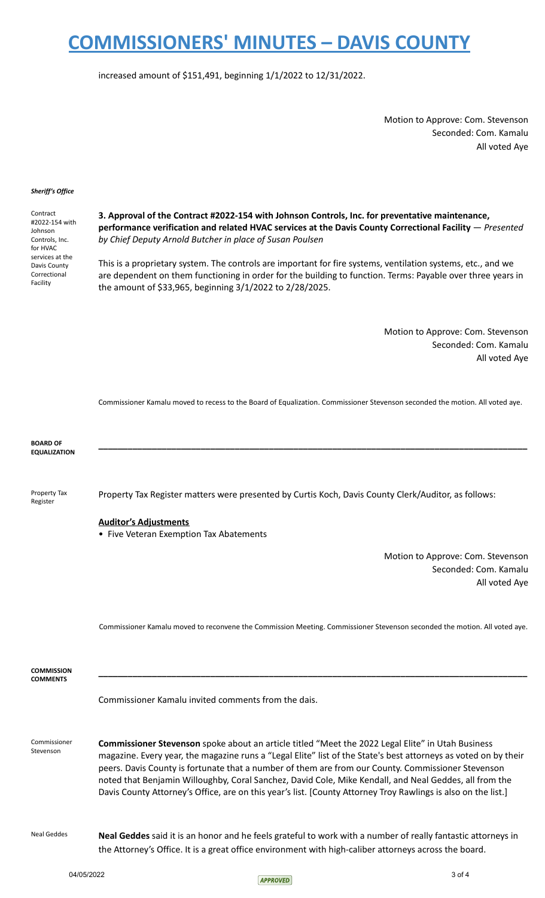increased amount of \$151,491, beginning 1/1/2022 to 12/31/2022.

Motion to Approve: Com. Stevenson Seconded: Com. Kamalu All voted Aye

#### *Sheriff's Office*

Contract #2022-154 with Johnson Controls, Inc. for HVAC services at the Davis County Correctional Facility

**3. Approval of the Contract #2022-154 with Johnson Controls, Inc. for preventative maintenance, performance verification and related HVAC services at the Davis County Correctional Facility** — *Presented by Chief Deputy Arnold Butcher in place of Susan Poulsen*

This is a proprietary system. The controls are important for fire systems, ventilation systems, etc., and we are dependent on them functioning in order for the building to function. Terms: Payable over three years in the amount of \$33,965, beginning 3/1/2022 to 2/28/2025.

> Motion to Approve: Com. Stevenson Seconded: Com. Kamalu All voted Aye

Commissioner Kamalu moved to recess to the Board of Equalization. Commissioner Stevenson seconded the motion. All voted aye.

**BOARD OF EQUALIZATION \_\_\_\_\_\_\_\_\_\_\_\_\_\_\_\_\_\_\_\_\_\_\_\_\_\_\_\_\_\_\_\_\_\_\_\_\_\_\_\_\_\_\_\_\_\_\_\_\_\_\_\_\_\_\_\_\_\_\_\_\_\_\_\_\_\_\_\_\_\_\_\_\_\_\_\_\_\_\_\_\_\_\_\_\_\_\_\_** Property Tax Register Property Tax Register matters were presented by Curtis Koch, Davis County Clerk/Auditor, as follows: **Auditor's Adjustments** • Five Veteran Exemption Tax Abatements Motion to Approve: Com. Stevenson Seconded: Com. Kamalu All voted Aye Commissioner Kamalu moved to reconvene the Commission Meeting. Commissioner Stevenson seconded the motion. All voted aye. **COMMISSION COMMENTS \_\_\_\_\_\_\_\_\_\_\_\_\_\_\_\_\_\_\_\_\_\_\_\_\_\_\_\_\_\_\_\_\_\_\_\_\_\_\_\_\_\_\_\_\_\_\_\_\_\_\_\_\_\_\_\_\_\_\_\_\_\_\_\_\_\_\_\_\_\_\_\_\_\_\_\_\_\_\_\_\_\_\_\_\_\_\_\_** Commissioner Kamalu invited comments from the dais. Commissioner Stevenson **Commissioner Stevenson** spoke about an article titled "Meet the 2022 Legal Elite" in Utah Business magazine. Every year, the magazine runs a "Legal Elite" list of the State's best attorneys as voted on by their peers. Davis County is fortunate that a number of them are from our County. Commissioner Stevenson noted that Benjamin Willoughby, Coral Sanchez, David Cole, Mike Kendall, and Neal Geddes, all from the Davis County Attorney's Office, are on this year's list. [County Attorney Troy Rawlings is also on the list.] Neal Geddes **Neal Geddes** said it is an honor and he feels grateful to work with a number of really fantastic attorneys in the Attorney's Office. It is a great office environment with high-caliber attorneys across the board.